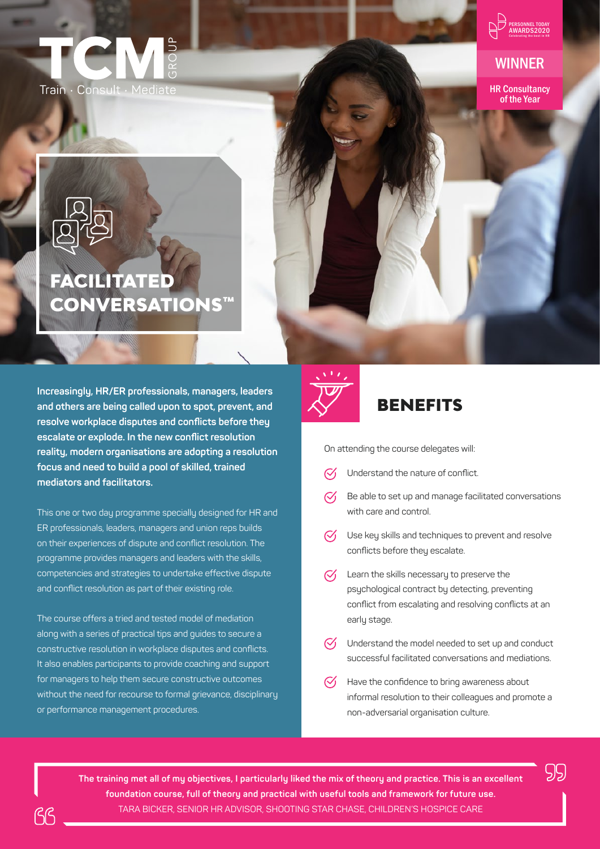



### WINNER

HR Consultancy of the Year

# FACILITATED CONVERSATIONS™

**Increasingly, HR/ER professionals, managers, leaders and others are being called upon to spot, prevent, and resolve workplace disputes and conflicts before they escalate or explode. In the new conflict resolution reality, modern organisations are adopting a resolution focus and need to build a pool of skilled, trained mediators and facilitators.**

This one or two day programme specially designed for HR and ER professionals, leaders, managers and union reps builds on their experiences of dispute and conflict resolution. The programme provides managers and leaders with the skills, competencies and strategies to undertake effective dispute and conflict resolution as part of their existing role.

The course offers a tried and tested model of mediation along with a series of practical tips and guides to secure a constructive resolution in workplace disputes and conflicts. It also enables participants to provide coaching and support for managers to help them secure constructive outcomes without the need for recourse to formal grievance, disciplinary or performance management procedures.

On attending the course delegates will:

BENEFITS

- $\mathcal{C}'$ Understand the nature of conflict.
- Be able to set up and manage facilitated conversations  $\oslash$ with care and control.
- $\heartsuit$  Use key skills and techniques to prevent and resolve conflicts before they escalate.
- $\mathcal{C}'$ Learn the skills necessary to preserve the psychological contract by detecting, preventing conflict from escalating and resolving conflicts at an early stage.
- $\mathcal{C}'$ Understand the model needed to set up and conduct successful facilitated conversations and mediations.
- Have the confidence to bring awareness about informal resolution to their colleagues and promote a non-adversarial organisation culture.

99

**The training met all of my objectives, I particularly liked the mix of theory and practice. This is an excellent foundation course, full of theory and practical with useful tools and framework for future use.**  TARA BICKER, SENIOR HR ADVISOR, SHOOTING STAR CHASE, CHILDREN'S HOSPICE CARE